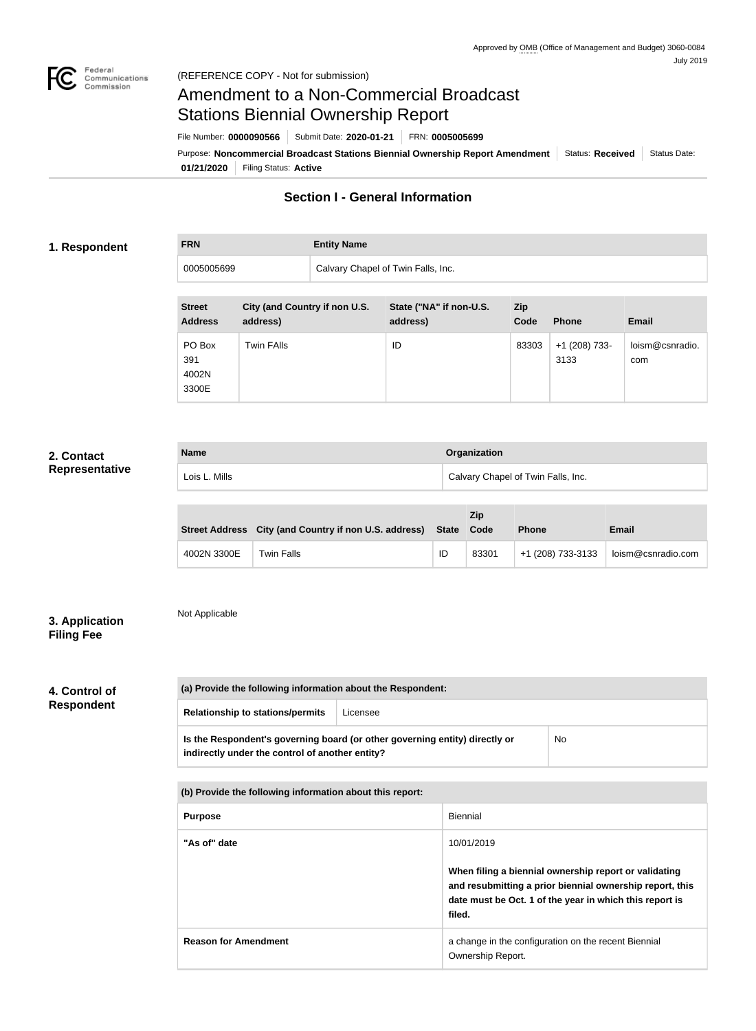

# Amendment to a Non-Commercial Broadcast Stations Biennial Ownership Report

Purpose: Noncommercial Broadcast Stations Biennial Ownership Report Amendment Status: Received Status Date: File Number: **0000090566** Submit Date: **2020-01-21** FRN: **0005005699**

**01/21/2020** Filing Status: **Active**

## **Section I - General Information**

### **1. Respondent**

# **FRN Entity Name**

| 0005005699                                                                   | Calvary Chapel of Twin Falls, Inc.                                        |              |
|------------------------------------------------------------------------------|---------------------------------------------------------------------------|--------------|
| City (and Country if non U.S.<br><b>Street</b><br><b>Address</b><br>address) | State ("NA" if non-U.S.<br><b>Zip</b><br><b>Phone</b><br>address)<br>Code | <b>Email</b> |

| Address                         | address)   | address) | Code  | <b>Phone</b>          | Email                  |
|---------------------------------|------------|----------|-------|-----------------------|------------------------|
| PO Box<br>391<br>4002N<br>3300E | Twin FAlls | ID       | 83303 | +1 (208) 733-<br>3133 | loism@csnradio.<br>com |

### **2. Contact Representative**

| <b>Name</b>   | Organization                       |
|---------------|------------------------------------|
| Lois L. Mills | Calvary Chapel of Twin Falls, Inc. |

|             | Street Address City (and Country if non U.S. address) State Code |    | Zip   | <b>Phone</b>      | <b>Email</b>       |
|-------------|------------------------------------------------------------------|----|-------|-------------------|--------------------|
| 4002N 3300E | Twin Falls                                                       | ID | 83301 | +1 (208) 733-3133 | loism@csnradio.com |

### **3. Application Filing Fee**

# Not Applicable

# **4. Control of Respondent**

|                                                     | (a) Provide the following information about the Respondent:                                                                    |  |    |
|-----------------------------------------------------|--------------------------------------------------------------------------------------------------------------------------------|--|----|
| <b>Relationship to stations/permits</b><br>Licensee |                                                                                                                                |  |    |
|                                                     | Is the Respondent's governing board (or other governing entity) directly or<br>indirectly under the control of another entity? |  | No |

### **(b) Provide the following information about this report:**

| <b>Purpose</b>              | Biennial                                                                                                                                                                               |
|-----------------------------|----------------------------------------------------------------------------------------------------------------------------------------------------------------------------------------|
| "As of" date                | 10/01/2019                                                                                                                                                                             |
|                             | When filing a biennial ownership report or validating<br>and resubmitting a prior biennial ownership report, this<br>date must be Oct. 1 of the year in which this report is<br>filed. |
| <b>Reason for Amendment</b> | a change in the configuration on the recent Biennial<br>Ownership Report.                                                                                                              |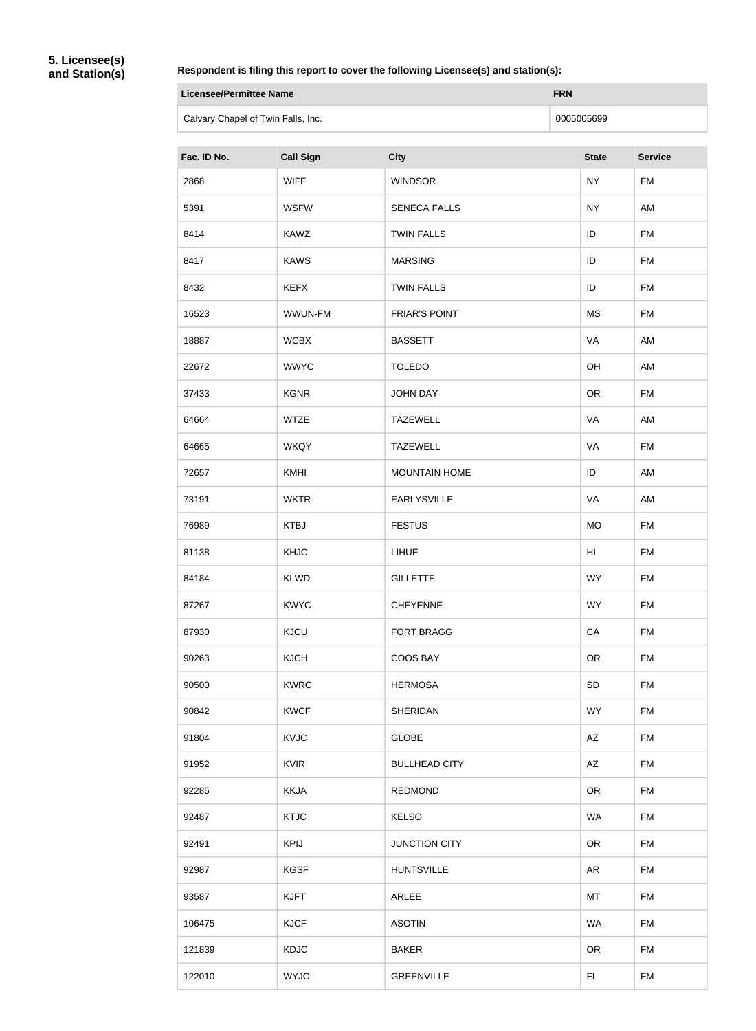**5. Licensee(s) and Station(s)**

#### **Respondent is filing this report to cover the following Licensee(s) and station(s):**

| Licensee/Permittee Name            | <b>FRN</b> |
|------------------------------------|------------|
| Calvary Chapel of Twin Falls, Inc. | 0005005699 |

| Fac. ID No. | <b>Call Sign</b> | <b>City</b>          | <b>State</b> | <b>Service</b> |
|-------------|------------------|----------------------|--------------|----------------|
| 2868        | <b>WIFF</b>      | <b>WINDSOR</b>       | <b>NY</b>    | <b>FM</b>      |
| 5391        | <b>WSFW</b>      | <b>SENECA FALLS</b>  | <b>NY</b>    | AM             |
| 8414        | <b>KAWZ</b>      | <b>TWIN FALLS</b>    | ID           | <b>FM</b>      |
| 8417        | <b>KAWS</b>      | <b>MARSING</b>       | ID           | <b>FM</b>      |
| 8432        | <b>KEFX</b>      | <b>TWIN FALLS</b>    | ID           | <b>FM</b>      |
| 16523       | WWUN-FM          | <b>FRIAR'S POINT</b> | <b>MS</b>    | <b>FM</b>      |
| 18887       | <b>WCBX</b>      | <b>BASSETT</b>       | VA           | AM             |
| 22672       | <b>WWYC</b>      | <b>TOLEDO</b>        | OH           | AM             |
| 37433       | <b>KGNR</b>      | <b>JOHN DAY</b>      | <b>OR</b>    | <b>FM</b>      |
| 64664       | <b>WTZE</b>      | <b>TAZEWELL</b>      | VA           | AM             |
| 64665       | <b>WKQY</b>      | <b>TAZEWELL</b>      | VA           | <b>FM</b>      |
| 72657       | KMHI             | <b>MOUNTAIN HOME</b> | ID           | AM             |
| 73191       | <b>WKTR</b>      | <b>EARLYSVILLE</b>   | VA           | AM             |
| 76989       | <b>KTBJ</b>      | <b>FESTUS</b>        | <b>MO</b>    | <b>FM</b>      |
| 81138       | KHJC             | <b>LIHUE</b>         | HI           | <b>FM</b>      |
| 84184       | <b>KLWD</b>      | <b>GILLETTE</b>      | <b>WY</b>    | <b>FM</b>      |
| 87267       | <b>KWYC</b>      | <b>CHEYENNE</b>      | <b>WY</b>    | <b>FM</b>      |
| 87930       | <b>KJCU</b>      | <b>FORT BRAGG</b>    | CA           | <b>FM</b>      |
| 90263       | <b>KJCH</b>      | COOS BAY             | <b>OR</b>    | <b>FM</b>      |
| 90500       | <b>KWRC</b>      | <b>HERMOSA</b>       | <b>SD</b>    | <b>FM</b>      |
| 90842       | <b>KWCF</b>      | <b>SHERIDAN</b>      | <b>WY</b>    | <b>FM</b>      |
| 91804       | KVJC             | <b>GLOBE</b>         | AZ           | <b>FM</b>      |
| 91952       | <b>KVIR</b>      | <b>BULLHEAD CITY</b> | AZ           | <b>FM</b>      |
| 92285       | <b>KKJA</b>      | <b>REDMOND</b>       | <b>OR</b>    | <b>FM</b>      |
| 92487       | <b>KTJC</b>      | <b>KELSO</b>         | <b>WA</b>    | <b>FM</b>      |
| 92491       | <b>KPIJ</b>      | <b>JUNCTION CITY</b> | <b>OR</b>    | <b>FM</b>      |
| 92987       | <b>KGSF</b>      | <b>HUNTSVILLE</b>    | <b>AR</b>    | <b>FM</b>      |
| 93587       | <b>KJFT</b>      | ARLEE                | MT           | <b>FM</b>      |
| 106475      | <b>KJCF</b>      | <b>ASOTIN</b>        | <b>WA</b>    | <b>FM</b>      |
| 121839      | <b>KDJC</b>      | <b>BAKER</b>         | <b>OR</b>    | <b>FM</b>      |
| 122010      | <b>WYJC</b>      | <b>GREENVILLE</b>    | FL.          | <b>FM</b>      |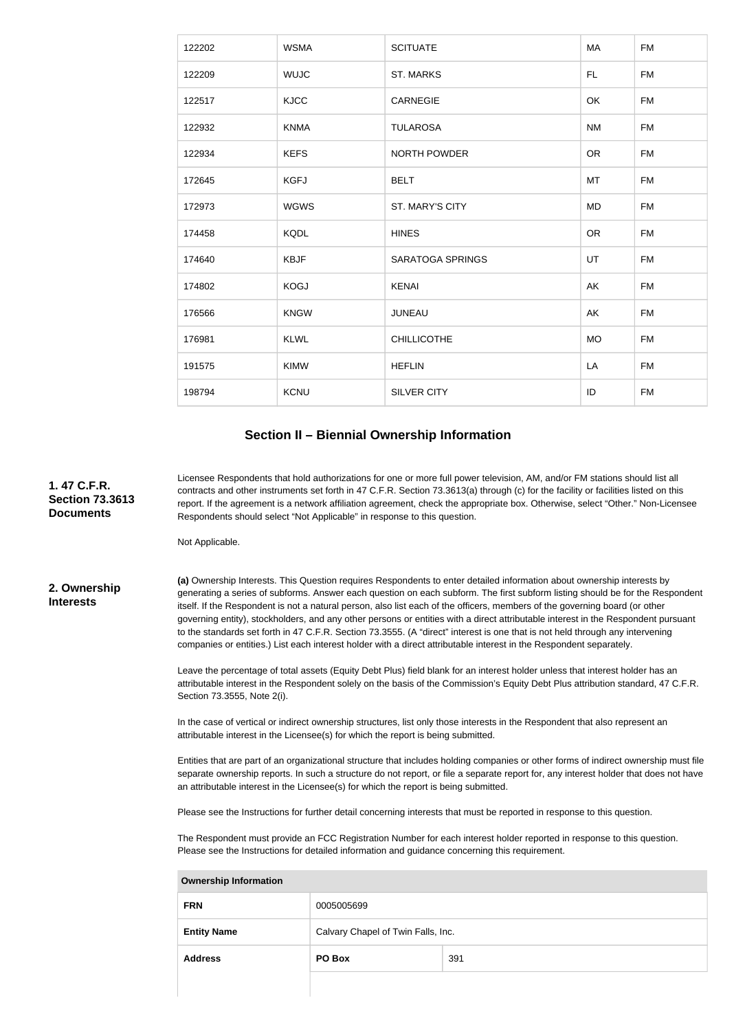| 122202 | <b>WSMA</b> | <b>SCITUATE</b>         | MA        | <b>FM</b> |
|--------|-------------|-------------------------|-----------|-----------|
| 122209 | <b>WUJC</b> | <b>ST. MARKS</b>        | FL.       | <b>FM</b> |
| 122517 | <b>KJCC</b> | <b>CARNEGIE</b>         | OK        | <b>FM</b> |
| 122932 | <b>KNMA</b> | <b>TULAROSA</b>         | <b>NM</b> | <b>FM</b> |
| 122934 | <b>KEFS</b> | <b>NORTH POWDER</b>     | <b>OR</b> | <b>FM</b> |
| 172645 | <b>KGFJ</b> | <b>BELT</b>             | MT        | <b>FM</b> |
| 172973 | <b>WGWS</b> | ST. MARY'S CITY         | <b>MD</b> | <b>FM</b> |
| 174458 | <b>KQDL</b> | <b>HINES</b>            | <b>OR</b> | <b>FM</b> |
| 174640 | <b>KBJF</b> | <b>SARATOGA SPRINGS</b> | UT        | <b>FM</b> |
| 174802 | <b>KOGJ</b> | <b>KENAI</b>            | AK        | <b>FM</b> |
| 176566 | <b>KNGW</b> | <b>JUNEAU</b>           | AK        | <b>FM</b> |
| 176981 | <b>KLWL</b> | <b>CHILLICOTHE</b>      | <b>MO</b> | <b>FM</b> |
| 191575 | <b>KIMW</b> | <b>HEFLIN</b>           | LA        | <b>FM</b> |
| 198794 | <b>KCNU</b> | <b>SILVER CITY</b>      | ID        | <b>FM</b> |

#### **Section II – Biennial Ownership Information**

Licensee Respondents that hold authorizations for one or more full power television, AM, and/or FM stations should list all contracts and other instruments set forth in 47 C.F.R. Section 73.3613(a) through (c) for the facility or facilities listed on this report. If the agreement is a network affiliation agreement, check the appropriate box. Otherwise, select "Other." Non-Licensee Respondents should select "Not Applicable" in response to this question.

Not Applicable.

**2. Ownership Interests**

**1. 47 C.F.R. Section 73.3613 Documents**

> **(a)** Ownership Interests. This Question requires Respondents to enter detailed information about ownership interests by generating a series of subforms. Answer each question on each subform. The first subform listing should be for the Respondent itself. If the Respondent is not a natural person, also list each of the officers, members of the governing board (or other governing entity), stockholders, and any other persons or entities with a direct attributable interest in the Respondent pursuant to the standards set forth in 47 C.F.R. Section 73.3555. (A "direct" interest is one that is not held through any intervening companies or entities.) List each interest holder with a direct attributable interest in the Respondent separately.

> Leave the percentage of total assets (Equity Debt Plus) field blank for an interest holder unless that interest holder has an attributable interest in the Respondent solely on the basis of the Commission's Equity Debt Plus attribution standard, 47 C.F.R. Section 73.3555, Note 2(i).

In the case of vertical or indirect ownership structures, list only those interests in the Respondent that also represent an attributable interest in the Licensee(s) for which the report is being submitted.

Entities that are part of an organizational structure that includes holding companies or other forms of indirect ownership must file separate ownership reports. In such a structure do not report, or file a separate report for, any interest holder that does not have an attributable interest in the Licensee(s) for which the report is being submitted.

Please see the Instructions for further detail concerning interests that must be reported in response to this question.

The Respondent must provide an FCC Registration Number for each interest holder reported in response to this question. Please see the Instructions for detailed information and guidance concerning this requirement.

| <b>FRN</b>         | 0005005699                         |     |
|--------------------|------------------------------------|-----|
| <b>Entity Name</b> | Calvary Chapel of Twin Falls, Inc. |     |
| <b>Address</b>     | PO Box                             | 391 |
|                    |                                    |     |

**Ownership Information**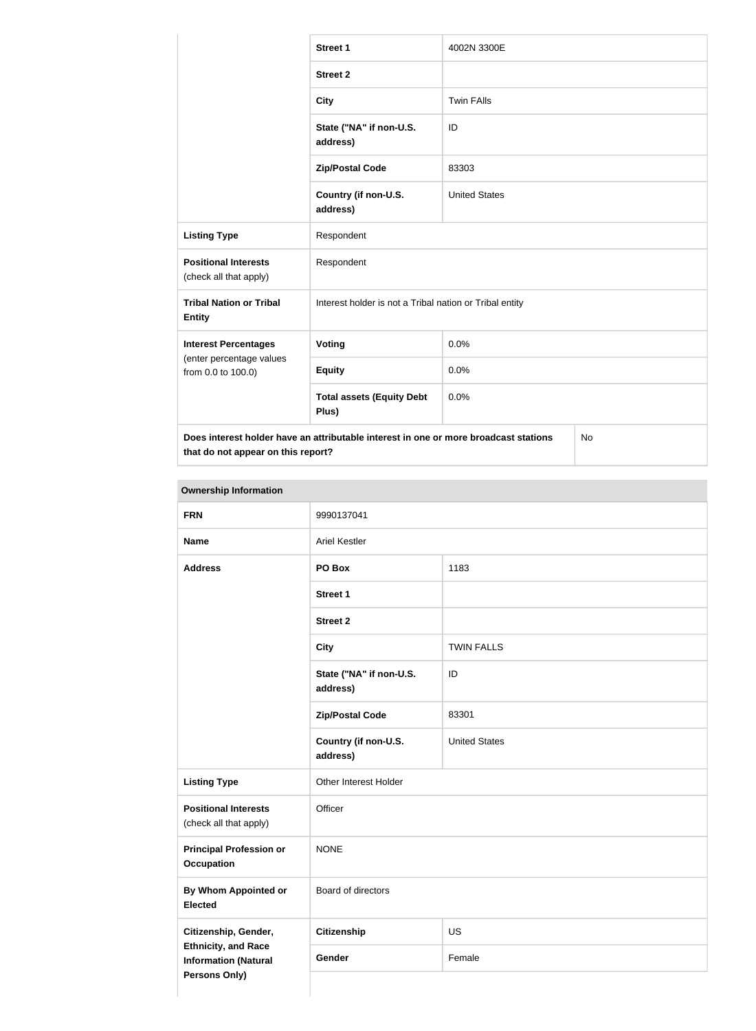|                                                                                                                                         | <b>Street 1</b>                                         | 4002N 3300E          |  |
|-----------------------------------------------------------------------------------------------------------------------------------------|---------------------------------------------------------|----------------------|--|
|                                                                                                                                         | <b>Street 2</b>                                         |                      |  |
|                                                                                                                                         | <b>City</b>                                             | <b>Twin FAlls</b>    |  |
|                                                                                                                                         | State ("NA" if non-U.S.<br>address)                     | ID                   |  |
|                                                                                                                                         | <b>Zip/Postal Code</b>                                  | 83303                |  |
|                                                                                                                                         | Country (if non-U.S.<br>address)                        | <b>United States</b> |  |
| <b>Listing Type</b>                                                                                                                     | Respondent                                              |                      |  |
| <b>Positional Interests</b><br>(check all that apply)                                                                                   | Respondent                                              |                      |  |
| <b>Tribal Nation or Tribal</b><br><b>Entity</b>                                                                                         | Interest holder is not a Tribal nation or Tribal entity |                      |  |
| <b>Interest Percentages</b>                                                                                                             | Voting                                                  | 0.0%                 |  |
| (enter percentage values<br>from 0.0 to 100.0)                                                                                          | <b>Equity</b>                                           | 0.0%                 |  |
|                                                                                                                                         | <b>Total assets (Equity Debt</b><br>Plus)               | 0.0%                 |  |
| Does interest holder have an attributable interest in one or more broadcast stations<br><b>No</b><br>that do not appear on this report? |                                                         |                      |  |

| <b>Ownership Information</b>                              |                                     |                      |  |
|-----------------------------------------------------------|-------------------------------------|----------------------|--|
| <b>FRN</b>                                                | 9990137041                          |                      |  |
| <b>Name</b>                                               | <b>Ariel Kestler</b>                |                      |  |
| <b>Address</b>                                            | 1183<br>PO Box                      |                      |  |
|                                                           | Street 1                            |                      |  |
|                                                           | <b>Street 2</b>                     |                      |  |
|                                                           | <b>City</b>                         | <b>TWIN FALLS</b>    |  |
|                                                           | State ("NA" if non-U.S.<br>address) | ID                   |  |
|                                                           | <b>Zip/Postal Code</b>              | 83301                |  |
|                                                           | Country (if non-U.S.<br>address)    | <b>United States</b> |  |
| <b>Listing Type</b>                                       | Other Interest Holder               |                      |  |
| <b>Positional Interests</b><br>(check all that apply)     | Officer                             |                      |  |
| <b>Principal Profession or</b><br><b>Occupation</b>       | <b>NONE</b>                         |                      |  |
| <b>By Whom Appointed or</b><br><b>Elected</b>             | Board of directors                  |                      |  |
| Citizenship, Gender,                                      | <b>Citizenship</b>                  | <b>US</b>            |  |
| <b>Ethnicity, and Race</b><br><b>Information (Natural</b> | Gender                              | Female               |  |
| <b>Persons Only)</b>                                      |                                     |                      |  |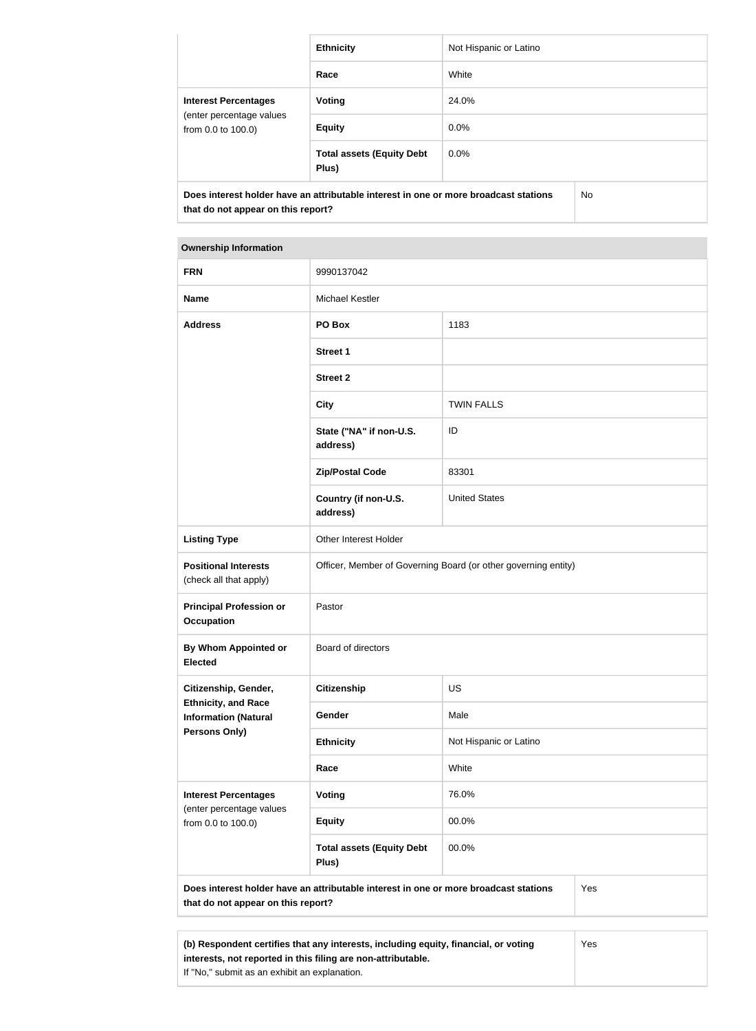|                                                                                                                            | <b>Ethnicity</b>                          | Not Hispanic or Latino |     |
|----------------------------------------------------------------------------------------------------------------------------|-------------------------------------------|------------------------|-----|
|                                                                                                                            | Race                                      | White                  |     |
| <b>Interest Percentages</b><br>(enter percentage values<br>from 0.0 to 100.0)                                              | Voting                                    | 24.0%                  |     |
|                                                                                                                            | <b>Equity</b>                             | $0.0\%$                |     |
|                                                                                                                            | <b>Total assets (Equity Debt</b><br>Plus) | $0.0\%$                |     |
| Does interest holder have an attributable interest in one or more broadcast stations<br>that do not appear on this report? |                                           |                        | No. |

#### **Ownership Information**

| <b>FRN</b>                                                                                                                        | 9990137042                                                     |                        |  |
|-----------------------------------------------------------------------------------------------------------------------------------|----------------------------------------------------------------|------------------------|--|
| <b>Name</b>                                                                                                                       | Michael Kestler                                                |                        |  |
| <b>Address</b>                                                                                                                    | PO Box                                                         | 1183                   |  |
|                                                                                                                                   | <b>Street 1</b>                                                |                        |  |
|                                                                                                                                   | <b>Street 2</b>                                                |                        |  |
|                                                                                                                                   | <b>City</b>                                                    | <b>TWIN FALLS</b>      |  |
|                                                                                                                                   | State ("NA" if non-U.S.<br>address)                            | ID                     |  |
|                                                                                                                                   | <b>Zip/Postal Code</b>                                         | 83301                  |  |
|                                                                                                                                   | Country (if non-U.S.<br>address)                               | <b>United States</b>   |  |
| <b>Listing Type</b>                                                                                                               | Other Interest Holder                                          |                        |  |
| <b>Positional Interests</b><br>(check all that apply)                                                                             | Officer, Member of Governing Board (or other governing entity) |                        |  |
| <b>Principal Profession or</b><br><b>Occupation</b>                                                                               | Pastor                                                         |                        |  |
| <b>By Whom Appointed or</b><br><b>Elected</b>                                                                                     | Board of directors                                             |                        |  |
| Citizenship, Gender,<br><b>Ethnicity, and Race</b><br><b>Information (Natural</b><br><b>Persons Only)</b>                         | <b>Citizenship</b>                                             | US                     |  |
|                                                                                                                                   | Gender                                                         | Male                   |  |
|                                                                                                                                   | <b>Ethnicity</b>                                               | Not Hispanic or Latino |  |
|                                                                                                                                   | Race                                                           | White                  |  |
| <b>Interest Percentages</b><br>(enter percentage values<br>from 0.0 to 100.0)                                                     | Voting                                                         | 76.0%                  |  |
|                                                                                                                                   | <b>Equity</b>                                                  | 00.0%                  |  |
|                                                                                                                                   | <b>Total assets (Equity Debt</b><br>Plus)                      | 00.0%                  |  |
| Does interest holder have an attributable interest in one or more broadcast stations<br>Yes<br>that do not appear on this report? |                                                                |                        |  |
|                                                                                                                                   |                                                                |                        |  |
|                                                                                                                                   |                                                                |                        |  |

**(b) Respondent certifies that any interests, including equity, financial, or voting interests, not reported in this filing are non-attributable.** If "No," submit as an exhibit an explanation. Yes